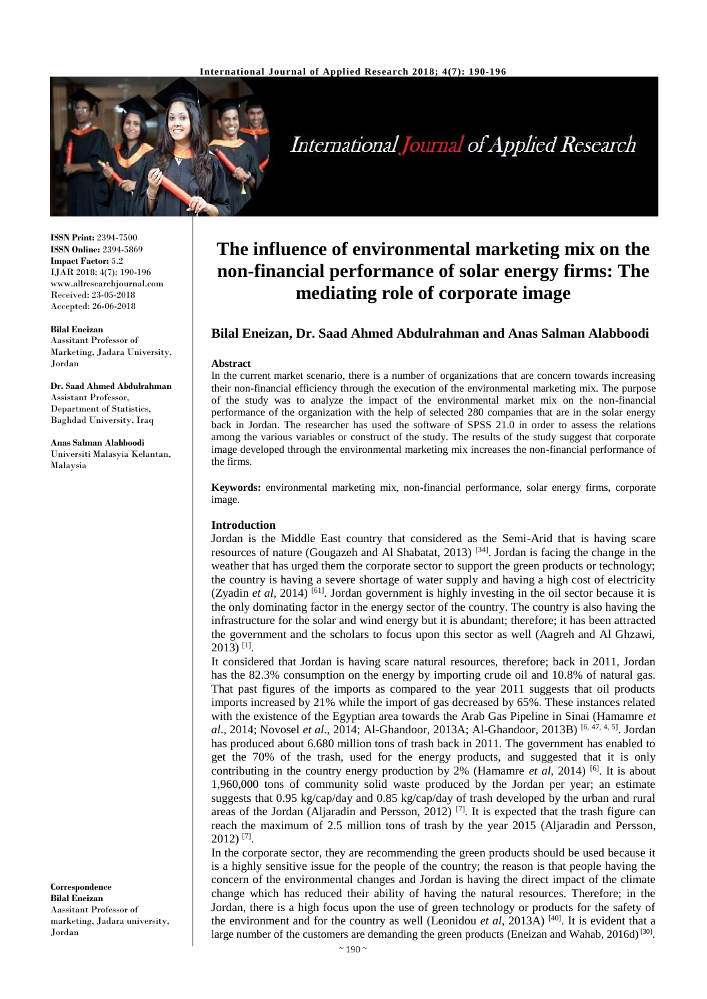

# International Journal of Applied Research

**ISSN Print:** 2394-7500 **ISSN Online:** 2394-5869 **Impact Factor:** 5.2 IJAR 2018; 4(7): 190-196 www.allresearchjournal.com Received: 23-05-2018 Accepted: 26-06-2018

# **Bilal Eneizan**

Aassitant Professor of Marketing, Jadara University, Jordan

**Dr. Saad Ahmed Abdulrahman** Assistant Professor, Department of Statistics, Baghdad University, Iraq

**Anas Salman Alabboodi** Universiti Malasyia Kelantan, Malaysia

**Correspondence Bilal Eneizan** Aassitant Professor of marketing, Jadara university, Jordan

# **The influence of environmental marketing mix on the non-financial performance of solar energy firms: The mediating role of corporate image**

# **Bilal Eneizan, Dr. Saad Ahmed Abdulrahman and Anas Salman Alabboodi**

#### **Abstract**

In the current market scenario, there is a number of organizations that are concern towards increasing their non-financial efficiency through the execution of the environmental marketing mix. The purpose of the study was to analyze the impact of the environmental market mix on the non-financial performance of the organization with the help of selected 280 companies that are in the solar energy back in Jordan. The researcher has used the software of SPSS 21.0 in order to assess the relations among the various variables or construct of the study. The results of the study suggest that corporate image developed through the environmental marketing mix increases the non-financial performance of the firms.

**Keywords:** environmental marketing mix, non-financial performance, solar energy firms, corporate image.

#### **Introduction**

Jordan is the Middle East country that considered as the Semi-Arid that is having scare resources of nature (Gougazeh and Al Shabatat, 2013)  $[34]$ . Jordan is facing the change in the weather that has urged them the corporate sector to support the green products or technology; the country is having a severe shortage of water supply and having a high cost of electricity (Zyadin et al, 2014)<sup>[61]</sup>. Jordan government is highly investing in the oil sector because it is the only dominating factor in the energy sector of the country. The country is also having the infrastructure for the solar and wind energy but it is abundant; therefore; it has been attracted the government and the scholars to focus upon this sector as well (Aagreh and Al Ghzawi,  $2013$ ) <sup>[1]</sup>.

It considered that Jordan is having scare natural resources, therefore; back in 2011, Jordan has the 82.3% consumption on the energy by importing crude oil and 10.8% of natural gas. That past figures of the imports as compared to the year 2011 suggests that oil products imports increased by 21% while the import of gas decreased by 65%. These instances related with the existence of the Egyptian area towards the Arab Gas Pipeline in Sinai (Hamamre *et al*., 2014; Novosel *et al*., 2014; Al-Ghandoor, 2013A; Al-Ghandoor, 2013B) [6, 47, 4, 5]. Jordan has produced about 6.680 million tons of trash back in 2011. The government has enabled to get the 70% of the trash, used for the energy products, and suggested that it is only contributing in the country energy production by 2% (Hamamre *et al*, 2014) [6]. It is about 1,960,000 tons of community solid waste produced by the Jordan per year; an estimate suggests that 0.95 kg/cap/day and 0.85 kg/cap/day of trash developed by the urban and rural areas of the Jordan (Aljaradin and Persson, 2012)<sup>[7]</sup>. It is expected that the trash figure can reach the maximum of 2.5 million tons of trash by the year 2015 (Aljaradin and Persson, 2012) [7] .

In the corporate sector, they are recommending the green products should be used because it is a highly sensitive issue for the people of the country; the reason is that people having the concern of the environmental changes and Jordan is having the direct impact of the climate change which has reduced their ability of having the natural resources. Therefore; in the Jordan, there is a high focus upon the use of green technology or products for the safety of the environment and for the country as well (Leonidou *et al*, 2013A) [40] . It is evident that a large number of the customers are demanding the green products (Eneizan and Wahab, 2016d)<sup>[30]</sup>.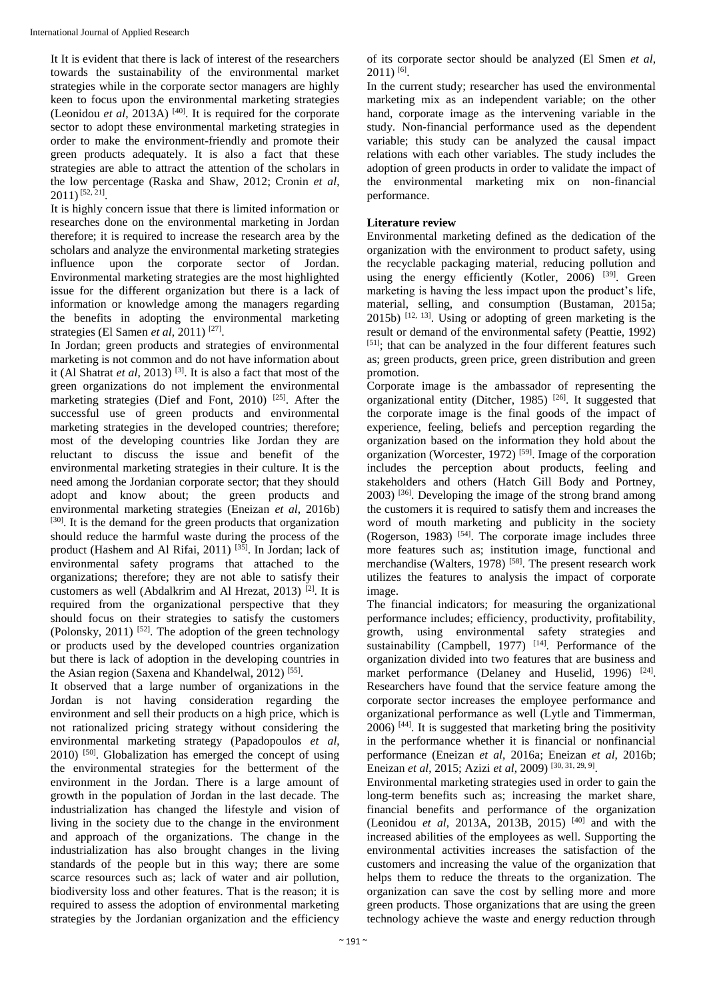It It is evident that there is lack of interest of the researchers towards the sustainability of the environmental market strategies while in the corporate sector managers are highly keen to focus upon the environmental marketing strategies (Leonidou *et al*, 2013A)  $[40]$ . It is required for the corporate sector to adopt these environmental marketing strategies in order to make the environment-friendly and promote their green products adequately. It is also a fact that these strategies are able to attract the attention of the scholars in the low percentage (Raska and Shaw, 2012; Cronin *et al*,  $2011$ ) <sup>[52, 21]</sup>.

It is highly concern issue that there is limited information or researches done on the environmental marketing in Jordan therefore; it is required to increase the research area by the scholars and analyze the environmental marketing strategies influence upon the corporate sector of Jordan. Environmental marketing strategies are the most highlighted issue for the different organization but there is a lack of information or knowledge among the managers regarding the benefits in adopting the environmental marketing strategies (El Samen *et al*, 2011)<sup>[27]</sup>.

In Jordan; green products and strategies of environmental marketing is not common and do not have information about it (Al Shatrat *et al*, 2013) [3]. It is also a fact that most of the green organizations do not implement the environmental marketing strategies (Dief and Font, 2010) [25]. After the successful use of green products and environmental marketing strategies in the developed countries; therefore; most of the developing countries like Jordan they are reluctant to discuss the issue and benefit of the environmental marketing strategies in their culture. It is the need among the Jordanian corporate sector; that they should adopt and know about; the green products and environmental marketing strategies (Eneizan *et al*, 2016b) [30]. It is the demand for the green products that organization should reduce the harmful waste during the process of the product (Hashem and Al Rifai, 2011) [35]. In Jordan; lack of environmental safety programs that attached to the organizations; therefore; they are not able to satisfy their customers as well (Abdalkrim and Al Hrezat, 2013)  $^{[2]}$ . It is required from the organizational perspective that they should focus on their strategies to satisfy the customers (Polonsky, 2011)  $[52]$ . The adoption of the green technology or products used by the developed countries organization but there is lack of adoption in the developing countries in the Asian region (Saxena and Khandelwal,  $2012$ )<sup>[55]</sup>.

It observed that a large number of organizations in the Jordan is not having consideration regarding the environment and sell their products on a high price, which is not rationalized pricing strategy without considering the environmental marketing strategy (Papadopoulos *et al*, 2010) [50]. Globalization has emerged the concept of using the environmental strategies for the betterment of the environment in the Jordan. There is a large amount of growth in the population of Jordan in the last decade. The industrialization has changed the lifestyle and vision of living in the society due to the change in the environment and approach of the organizations. The change in the industrialization has also brought changes in the living standards of the people but in this way; there are some scarce resources such as; lack of water and air pollution, biodiversity loss and other features. That is the reason; it is required to assess the adoption of environmental marketing strategies by the Jordanian organization and the efficiency

of its corporate sector should be analyzed (El Smen *et al*,  $2011$ ) <sup>[6]</sup>.

In the current study; researcher has used the environmental marketing mix as an independent variable; on the other hand, corporate image as the intervening variable in the study. Non-financial performance used as the dependent variable; this study can be analyzed the causal impact relations with each other variables. The study includes the adoption of green products in order to validate the impact of the environmental marketing mix on non-financial performance.

# **Literature review**

Environmental marketing defined as the dedication of the organization with the environment to product safety, using the recyclable packaging material, reducing pollution and using the energy efficiently (Kotler, 2006)  $[39]$ . Green marketing is having the less impact upon the product's life, material, selling, and consumption (Bustaman, 2015a;  $2015b$ )  $^{[12, 13]}$ . Using or adopting of green marketing is the result or demand of the environmental safety (Peattie, 1992) [51]; that can be analyzed in the four different features such as; green products, green price, green distribution and green promotion.

Corporate image is the ambassador of representing the organizational entity (Ditcher, 1985)<sup>[26]</sup>. It suggested that the corporate image is the final goods of the impact of experience, feeling, beliefs and perception regarding the organization based on the information they hold about the organization (Worcester, 1972)<sup>[59]</sup>. Image of the corporation includes the perception about products, feeling and stakeholders and others (Hatch Gill Body and Portney, 2003) [36]. Developing the image of the strong brand among the customers it is required to satisfy them and increases the word of mouth marketing and publicity in the society (Rogerson, 1983)  $[54]$ . The corporate image includes three more features such as; institution image, functional and merchandise (Walters, 1978)<sup>[58]</sup>. The present research work utilizes the features to analysis the impact of corporate image.

The financial indicators; for measuring the organizational performance includes; efficiency, productivity, profitability, growth, using environmental safety strategies and sustainability  $(Campbell, 1977)$   $[14]$ . Performance of the organization divided into two features that are business and market performance (Delaney and Huselid, 1996)  $[24]$ . Researchers have found that the service feature among the corporate sector increases the employee performance and organizational performance as well (Lytle and Timmerman,  $2006$ ) <sup>[44]</sup>. It is suggested that marketing bring the positivity in the performance whether it is financial or nonfinancial performance (Eneizan *et al*, 2016a; Eneizan *et al*, 2016b; Eneizan *et al*, 2015; Azizi *et al*, 2009) [30, 31, 29, 9] .

Environmental marketing strategies used in order to gain the long-term benefits such as; increasing the market share, financial benefits and performance of the organization (Leonidou *et al*, 2013A, 2013B, 2015) [40] and with the increased abilities of the employees as well. Supporting the environmental activities increases the satisfaction of the customers and increasing the value of the organization that helps them to reduce the threats to the organization. The organization can save the cost by selling more and more green products. Those organizations that are using the green technology achieve the waste and energy reduction through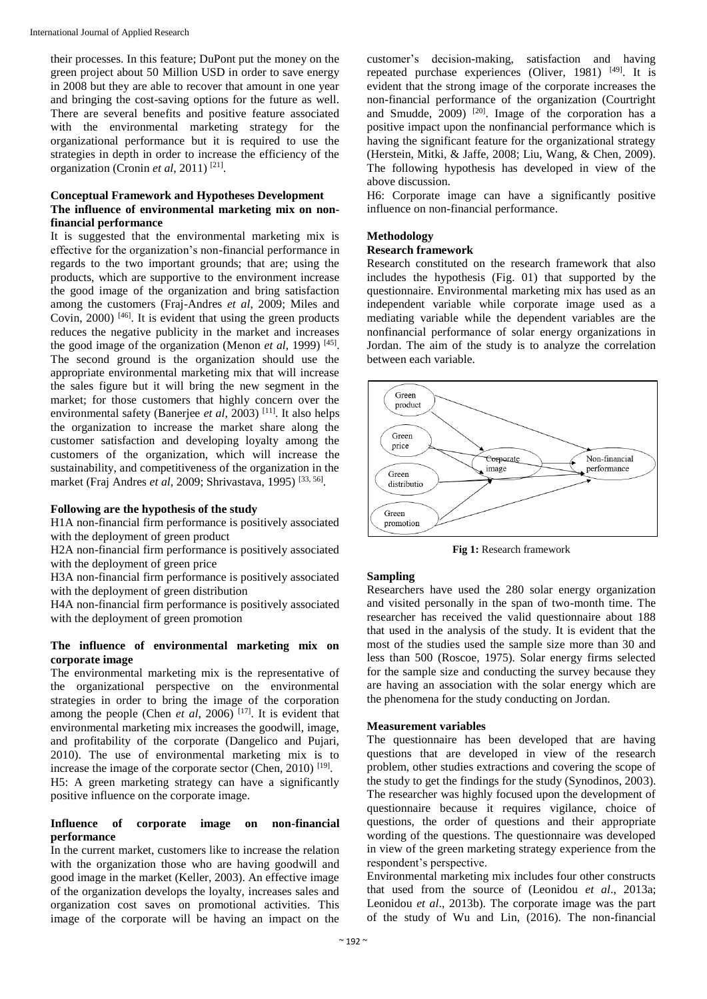their processes. In this feature; DuPont put the money on the green project about 50 Million USD in order to save energy in 2008 but they are able to recover that amount in one year and bringing the cost-saving options for the future as well. There are several benefits and positive feature associated with the environmental marketing strategy for the organizational performance but it is required to use the strategies in depth in order to increase the efficiency of the organization (Cronin *et al*, 2011)<sup>[21]</sup>.

# **Conceptual Framework and Hypotheses Development The influence of environmental marketing mix on nonfinancial performance**

It is suggested that the environmental marketing mix is effective for the organization's non-financial performance in regards to the two important grounds; that are; using the products, which are supportive to the environment increase the good image of the organization and bring satisfaction among the customers (Fraj-Andres *et al*, 2009; Miles and Covin,  $2000$ <sup>[46]</sup>. It is evident that using the green products reduces the negative publicity in the market and increases the good image of the organization (Menon *et al*, 1999) [45] . The second ground is the organization should use the appropriate environmental marketing mix that will increase the sales figure but it will bring the new segment in the market; for those customers that highly concern over the environmental safety (Banerjee *et al*, 2003) [11]. It also helps the organization to increase the market share along the customer satisfaction and developing loyalty among the customers of the organization, which will increase the sustainability, and competitiveness of the organization in the market (Fraj Andres *et al*, 2009; Shrivastava, 1995) [33, 56] .

#### **Following are the hypothesis of the study**

H1A non-financial firm performance is positively associated with the deployment of green product

H2A non-financial firm performance is positively associated with the deployment of green price

H3A non-financial firm performance is positively associated with the deployment of green distribution

H4A non-financial firm performance is positively associated with the deployment of green promotion

#### **The influence of environmental marketing mix on corporate image**

The environmental marketing mix is the representative of the organizational perspective on the environmental strategies in order to bring the image of the corporation among the people (Chen *et al*, 2006)<sup>[17]</sup>. It is evident that environmental marketing mix increases the goodwill, image, and profitability of the corporate (Dangelico and Pujari, 2010). The use of environmental marketing mix is to increase the image of the corporate sector (Chen, 2010)  $[19]$ . H5: A green marketing strategy can have a significantly positive influence on the corporate image.

### **Influence of corporate image on non-financial performance**

In the current market, customers like to increase the relation with the organization those who are having goodwill and good image in the market (Keller, 2003). An effective image of the organization develops the loyalty, increases sales and organization cost saves on promotional activities. This image of the corporate will be having an impact on the

customer's decision-making, satisfaction and having repeated purchase experiences (Oliver, 1981)  $[49]$ . It is evident that the strong image of the corporate increases the non-financial performance of the organization (Courtright and Smudde,  $2009$ <sup>[20]</sup>. Image of the corporation has a positive impact upon the nonfinancial performance which is having the significant feature for the organizational strategy (Herstein, Mitki, & Jaffe, 2008; Liu, Wang, & Chen, 2009). The following hypothesis has developed in view of the above discussion.

H6: Corporate image can have a significantly positive influence on non-financial performance.

# **Methodology**

#### **Research framework**

Research constituted on the research framework that also includes the hypothesis (Fig. 01) that supported by the questionnaire. Environmental marketing mix has used as an independent variable while corporate image used as a mediating variable while the dependent variables are the nonfinancial performance of solar energy organizations in Jordan. The aim of the study is to analyze the correlation between each variable.



**Fig 1:** Research framework

# **Sampling**

Researchers have used the 280 solar energy organization and visited personally in the span of two-month time. The researcher has received the valid questionnaire about 188 that used in the analysis of the study. It is evident that the most of the studies used the sample size more than 30 and less than 500 (Roscoe, 1975). Solar energy firms selected for the sample size and conducting the survey because they are having an association with the solar energy which are the phenomena for the study conducting on Jordan.

# **Measurement variables**

The questionnaire has been developed that are having questions that are developed in view of the research problem, other studies extractions and covering the scope of the study to get the findings for the study (Synodinos, 2003). The researcher was highly focused upon the development of questionnaire because it requires vigilance, choice of questions, the order of questions and their appropriate wording of the questions. The questionnaire was developed in view of the green marketing strategy experience from the respondent's perspective.

Environmental marketing mix includes four other constructs that used from the source of (Leonidou *et al*., 2013a; Leonidou *et al*., 2013b). The corporate image was the part of the study of Wu and Lin, (2016). The non-financial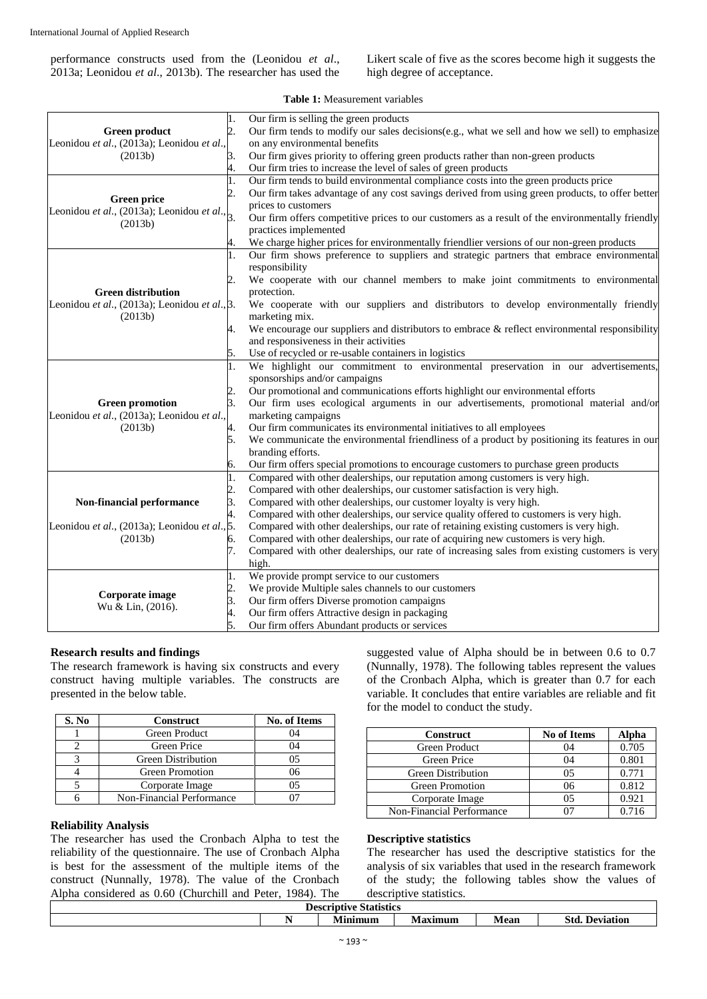performance constructs used from the (Leonidou *et al*., 2013a; Leonidou *et al*., 2013b). The researcher has used the Likert scale of five as the scores become high it suggests the high degree of acceptance.

### **Table 1:** Measurement variables

|                                                        | 1.             | Our firm is selling the green products                                                           |  |  |  |  |
|--------------------------------------------------------|----------------|--------------------------------------------------------------------------------------------------|--|--|--|--|
| <b>Green product</b>                                   | 2.             | Our firm tends to modify our sales decisions(e.g., what we sell and how we sell) to emphasize    |  |  |  |  |
| Leonidou et al., (2013a); Leonidou et al.,             |                | on any environmental benefits                                                                    |  |  |  |  |
| (2013b)                                                | 3.             | Our firm gives priority to offering green products rather than non-green products                |  |  |  |  |
|                                                        | 4.             | Our firm tries to increase the level of sales of green products                                  |  |  |  |  |
|                                                        | 1.             | Our firm tends to build environmental compliance costs into the green products price             |  |  |  |  |
| <b>Green price</b>                                     | 2.             | Our firm takes advantage of any cost savings derived from using green products, to offer better  |  |  |  |  |
| Leonidou et al., (2013a); Leonidou et al., $\vert_3$ . |                | prices to customers                                                                              |  |  |  |  |
| (2013b)                                                |                | Our firm offers competitive prices to our customers as a result of the environmentally friendly  |  |  |  |  |
|                                                        |                | practices implemented                                                                            |  |  |  |  |
|                                                        | 4.             | We charge higher prices for environmentally friendlier versions of our non-green products        |  |  |  |  |
|                                                        | 1.             | Our firm shows preference to suppliers and strategic partners that embrace environmental         |  |  |  |  |
|                                                        |                | responsibility                                                                                   |  |  |  |  |
|                                                        | 2              | We cooperate with our channel members to make joint commitments to environmental                 |  |  |  |  |
| <b>Green distribution</b>                              |                | protection.                                                                                      |  |  |  |  |
| Leonidou et al., (2013a); Leonidou et al., 3.          |                | We cooperate with our suppliers and distributors to develop environmentally friendly             |  |  |  |  |
| (2013b)                                                |                | marketing mix.                                                                                   |  |  |  |  |
|                                                        | 4.             | We encourage our suppliers and distributors to embrace $\&$ reflect environmental responsibility |  |  |  |  |
|                                                        |                | and responsiveness in their activities                                                           |  |  |  |  |
|                                                        | 5.             | Use of recycled or re-usable containers in logistics                                             |  |  |  |  |
|                                                        | 1.             | We highlight our commitment to environmental preservation in our advertisements,                 |  |  |  |  |
|                                                        |                | sponsorships and/or campaigns                                                                    |  |  |  |  |
|                                                        | $\mathbf{2}$ . | Our promotional and communications efforts highlight our environmental efforts                   |  |  |  |  |
| <b>Green promotion</b>                                 |                | Our firm uses ecological arguments in our advertisements, promotional material and/or            |  |  |  |  |
| Leonidou et al., (2013a); Leonidou et al.,             |                | marketing campaigns                                                                              |  |  |  |  |
| (2013b)                                                | 4.             | Our firm communicates its environmental initiatives to all employees                             |  |  |  |  |
|                                                        | 5.             | We communicate the environmental friendliness of a product by positioning its features in our    |  |  |  |  |
|                                                        |                | branding efforts.                                                                                |  |  |  |  |
|                                                        | 6.             | Our firm offers special promotions to encourage customers to purchase green products             |  |  |  |  |
|                                                        | 1.             | Compared with other dealerships, our reputation among customers is very high.                    |  |  |  |  |
|                                                        | 2.             | Compared with other dealerships, our customer satisfaction is very high.                         |  |  |  |  |
| Non-financial performance                              | 3.             | Compared with other dealerships, our customer loyalty is very high.                              |  |  |  |  |
|                                                        | 4.             | Compared with other dealerships, our service quality offered to customers is very high.          |  |  |  |  |
| Leonidou et al., (2013a); Leonidou et al., 5.          |                | Compared with other dealerships, our rate of retaining existing customers is very high.          |  |  |  |  |
| (2013b)                                                | б.             | Compared with other dealerships, our rate of acquiring new customers is very high.               |  |  |  |  |
|                                                        | 7.             | Compared with other dealerships, our rate of increasing sales from existing customers is very    |  |  |  |  |
|                                                        |                | high.                                                                                            |  |  |  |  |
|                                                        | 1.             | We provide prompt service to our customers                                                       |  |  |  |  |
|                                                        | $\overline{c}$ | We provide Multiple sales channels to our customers                                              |  |  |  |  |
| Corporate image                                        | 3.             | Our firm offers Diverse promotion campaigns                                                      |  |  |  |  |
| Wu & Lin, (2016).                                      | 4.             | Our firm offers Attractive design in packaging                                                   |  |  |  |  |
|                                                        | 5.             | Our firm offers Abundant products or services                                                    |  |  |  |  |

#### **Research results and findings**

The research framework is having six constructs and every construct having multiple variables. The constructs are presented in the below table.

| S. No | <b>Construct</b>          | <b>No. of Items</b> |
|-------|---------------------------|---------------------|
|       | Green Product             | 11                  |
|       | Green Price               | 04                  |
|       | <b>Green Distribution</b> |                     |
|       | Green Promotion           | 06                  |
|       | Corporate Image           | 05                  |
|       | Non-Financial Performance |                     |

#### **Reliability Analysis**

The researcher has used the Cronbach Alpha to test the reliability of the questionnaire. The use of Cronbach Alpha is best for the assessment of the multiple items of the construct (Nunnally, 1978). The value of the Cronbach Alpha considered as 0.60 (Churchill and Peter, 1984). The suggested value of Alpha should be in between 0.6 to 0.7 (Nunnally, 1978). The following tables represent the values of the Cronbach Alpha, which is greater than 0.7 for each variable. It concludes that entire variables are reliable and fit for the model to conduct the study.

| <b>Construct</b>          | <b>No of Items</b> | Alpha |  |
|---------------------------|--------------------|-------|--|
| Green Product             | 04                 | 0.705 |  |
| Green Price               | 04                 | 0.801 |  |
| <b>Green Distribution</b> | 05                 | 0.771 |  |
| <b>Green Promotion</b>    | 06                 | 0.812 |  |
| Corporate Image           | 05                 | 0.921 |  |
| Non-Financial Performance |                    | 0.716 |  |

#### **Descriptive statistics**

The researcher has used the descriptive statistics for the analysis of six variables that used in the research framework of the study; the following tables show the values of descriptive statistics.

| <b>Descri</b><br>nturo<br>statīstīcs |  |            |                |             |                                     |  |
|--------------------------------------|--|------------|----------------|-------------|-------------------------------------|--|
|                                      |  | s and<br>. | $-1$<br>×unun. | <b>Mean</b> | $\mathbb{C}$ 4.<br>Deviation<br>ouu |  |
|                                      |  |            |                |             |                                     |  |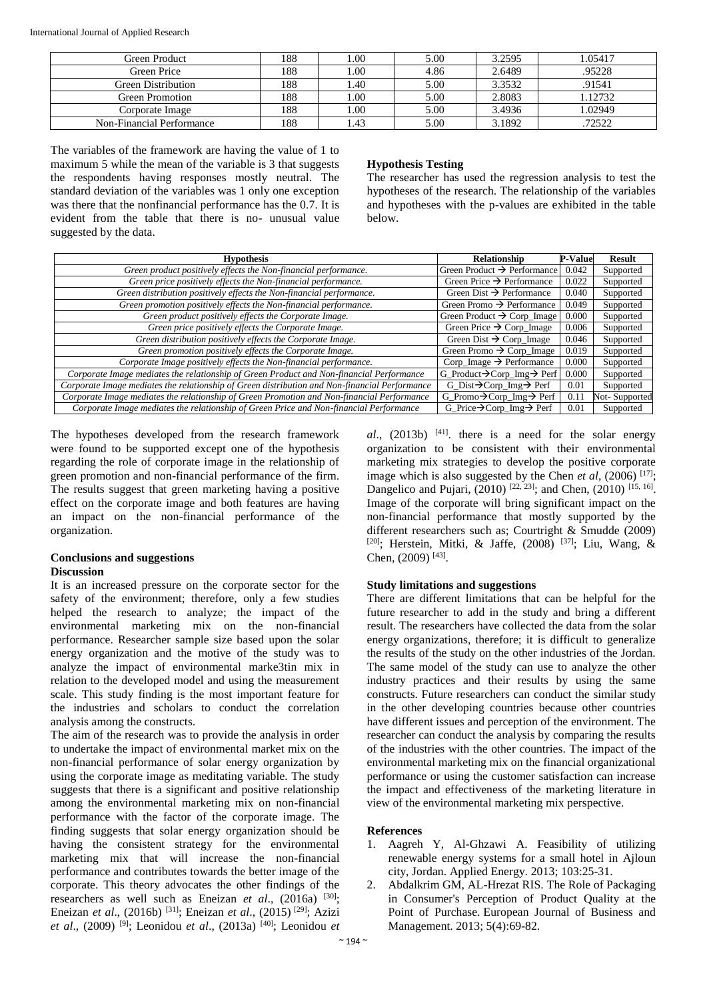International Journal of Applied Research

| Green Product             | 188 | .00  | 5.00 | 3.2595 | 1.05417 |
|---------------------------|-----|------|------|--------|---------|
| Green Price               | 188 | .00  | 4.86 | 2.6489 | .95228  |
| <b>Green Distribution</b> | 188 | .40  | 5.00 | 3.3532 | .91541  |
| Green Promotion           | 188 | .00  | 5.00 | 2.8083 | 1.12732 |
| Corporate Image           | 188 | .00  | 5.00 | 3.4936 | 1.02949 |
| Non-Financial Performance | 188 | . 43 | 5.00 | 3.1892 | .72522  |

The variables of the framework are having the value of 1 to maximum 5 while the mean of the variable is 3 that suggests the respondents having responses mostly neutral. The standard deviation of the variables was 1 only one exception was there that the nonfinancial performance has the 0.7. It is evident from the table that there is no- unusual value suggested by the data.

#### **Hypothesis Testing**

The researcher has used the regression analysis to test the hypotheses of the research. The relationship of the variables and hypotheses with the p-values are exhibited in the table below.

| <b>Hypothesis</b>                                                                             | Relationship                                        | <b>P-Value</b> | Result        |
|-----------------------------------------------------------------------------------------------|-----------------------------------------------------|----------------|---------------|
| Green product positively effects the Non-financial performance.                               | Green Product $\rightarrow$ Performance             | 0.042          | Supported     |
| Green price positively effects the Non-financial performance.                                 | Green Price $\rightarrow$ Performance               | 0.022          | Supported     |
| Green distribution positively effects the Non-financial performance.                          | Green Dist $\rightarrow$ Performance                | 0.040          | Supported     |
| Green promotion positively effects the Non-financial performance.                             | Green Promo $\rightarrow$ Performance               | 0.049          | Supported     |
| Green product positively effects the Corporate Image.                                         | Green Product $\rightarrow$ Corp_Image              | 0.000          | Supported     |
| Green price positively effects the Corporate Image.                                           | Green Price $\rightarrow$ Corp_Image                | 0.006          | Supported     |
| Green distribution positively effects the Corporate Image.                                    | Green Dist $\rightarrow$ Corp_Image                 | 0.046          | Supported     |
| Green promotion positively effects the Corporate Image.                                       | Green Promo $\rightarrow$ Corp_Image                | 0.019          | Supported     |
| Corporate Image positively effects the Non-financial performance.                             | $Corp_{\text{Image}} \rightarrow$ Performance       | 0.000          | Supported     |
| Corporate Image mediates the relationship of Green Product and Non-financial Performance      | G_Product $\rightarrow$ Corp_Img $\rightarrow$ Perf | 0.000          | Supported     |
| Corporate Image mediates the relationship of Green distribution and Non-financial Performance | $G_D$ ist $\rightarrow$ Corp_Img $\rightarrow$ Perf | 0.01           | Supported     |
| Corporate Image mediates the relationship of Green Promotion and Non-financial Performance    | G_Promo $\rightarrow$ Corp_Img $\rightarrow$ Perf   | 0.11           | Not-Supported |
| Corporate Image mediates the relationship of Green Price and Non-financial Performance        | G_Price $\rightarrow$ Corp_Img $\rightarrow$ Perf   | 0.01           | Supported     |

The hypotheses developed from the research framework were found to be supported except one of the hypothesis regarding the role of corporate image in the relationship of green promotion and non-financial performance of the firm. The results suggest that green marketing having a positive effect on the corporate image and both features are having an impact on the non-financial performance of the organization.

# **Conclusions and suggestions Discussion**

It is an increased pressure on the corporate sector for the safety of the environment; therefore, only a few studies helped the research to analyze; the impact of the environmental marketing mix on the non-financial performance. Researcher sample size based upon the solar energy organization and the motive of the study was to analyze the impact of environmental marke3tin mix in relation to the developed model and using the measurement scale. This study finding is the most important feature for the industries and scholars to conduct the correlation analysis among the constructs.

The aim of the research was to provide the analysis in order to undertake the impact of environmental market mix on the non-financial performance of solar energy organization by using the corporate image as meditating variable. The study suggests that there is a significant and positive relationship among the environmental marketing mix on non-financial performance with the factor of the corporate image. The finding suggests that solar energy organization should be having the consistent strategy for the environmental marketing mix that will increase the non-financial performance and contributes towards the better image of the corporate. This theory advocates the other findings of the researchers as well such as Eneizan *et al.*, (2016a) <sup>[30]</sup>; Eneizan *et al*., (2016b) [31]; Eneizan *et al*., (2015) [29]; Azizi *et al*., (2009) [9]; Leonidou *et al*., (2013a) [40]; Leonidou *et*   $al$ ,  $(2013b)$  <sup>[41]</sup>. there is a need for the solar energy organization to be consistent with their environmental marketing mix strategies to develop the positive corporate image which is also suggested by the Chen *et al.* (2006)<sup>[17]</sup>; Dangelico and Pujari,  $(2010)$  <sup>[22, 23]</sup>; and Chen,  $(2010)$  <sup>[15, 16]</sup>. Image of the corporate will bring significant impact on the non-financial performance that mostly supported by the different researchers such as; Courtright & Smudde (2009) [20]; Herstein, Mitki, & Jaffe, (2008) [37]; Liu, Wang, & Chen,  $(2009)$ <sup>[43]</sup>.

# **Study limitations and suggestions**

There are different limitations that can be helpful for the future researcher to add in the study and bring a different result. The researchers have collected the data from the solar energy organizations, therefore; it is difficult to generalize the results of the study on the other industries of the Jordan. The same model of the study can use to analyze the other industry practices and their results by using the same constructs. Future researchers can conduct the similar study in the other developing countries because other countries have different issues and perception of the environment. The researcher can conduct the analysis by comparing the results of the industries with the other countries. The impact of the environmental marketing mix on the financial organizational performance or using the customer satisfaction can increase the impact and effectiveness of the marketing literature in view of the environmental marketing mix perspective.

# **References**

- 1. Aagreh Y, Al-Ghzawi A. Feasibility of utilizing renewable energy systems for a small hotel in Ajloun city, Jordan. Applied Energy. 2013; 103:25-31.
- 2. Abdalkrim GM, AL-Hrezat RIS. The Role of Packaging in Consumer's Perception of Product Quality at the Point of Purchase. European Journal of Business and Management. 2013; 5(4):69-82.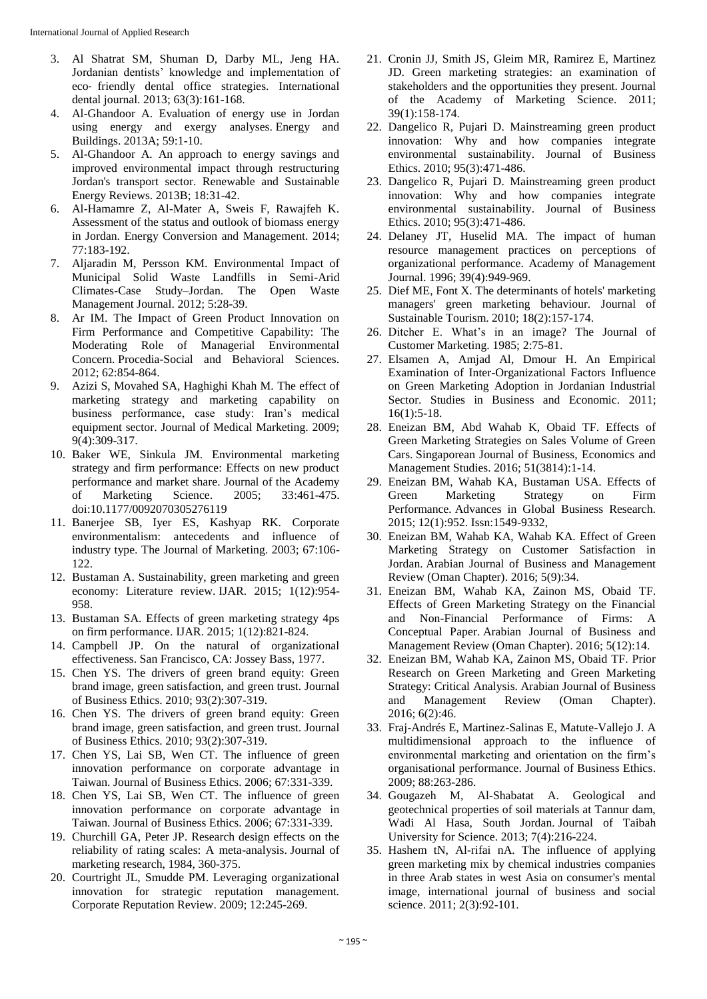- 3. Al Shatrat SM, Shuman D, Darby ML, Jeng HA. Jordanian dentists' knowledge and implementation of eco‐ friendly dental office strategies. International dental journal. 2013; 63(3):161-168.
- 4. Al-Ghandoor A. Evaluation of energy use in Jordan using energy and exergy analyses. Energy and Buildings. 2013A; 59:1-10.
- 5. Al-Ghandoor A. An approach to energy savings and improved environmental impact through restructuring Jordan's transport sector. Renewable and Sustainable Energy Reviews. 2013B; 18:31-42.
- 6. Al-Hamamre Z, Al-Mater A, Sweis F, Rawajfeh K. Assessment of the status and outlook of biomass energy in Jordan. Energy Conversion and Management. 2014; 77:183-192.
- 7. Aljaradin M, Persson KM. Environmental Impact of Municipal Solid Waste Landfills in Semi-Arid Climates-Case Study–Jordan. The Open Waste Management Journal. 2012; 5:28-39.
- 8. Ar IM. The Impact of Green Product Innovation on Firm Performance and Competitive Capability: The Moderating Role of Managerial Environmental Concern. Procedia-Social and Behavioral Sciences. 2012; 62:854-864.
- 9. Azizi S, Movahed SA, Haghighi Khah M. The effect of marketing strategy and marketing capability on business performance, case study: Iran's medical equipment sector. Journal of Medical Marketing. 2009; 9(4):309-317.
- 10. Baker WE, Sinkula JM. Environmental marketing strategy and firm performance: Effects on new product performance and market share. Journal of the Academy of Marketing Science. 2005; 33:461-475. doi:10.1177/0092070305276119
- 11. Banerjee SB, Iyer ES, Kashyap RK. Corporate environmentalism: antecedents and influence of industry type. The Journal of Marketing. 2003; 67:106- 122.
- 12. Bustaman A. Sustainability, green marketing and green economy: Literature review. IJAR. 2015; 1(12):954- 958.
- 13. Bustaman SA. Effects of green marketing strategy 4ps on firm performance. IJAR. 2015; 1(12):821-824.
- 14. Campbell JP. On the natural of organizational effectiveness. San Francisco, CA: Jossey Bass, 1977.
- 15. Chen YS. The drivers of green brand equity: Green brand image, green satisfaction, and green trust. Journal of Business Ethics. 2010; 93(2):307-319.
- 16. Chen YS. The drivers of green brand equity: Green brand image, green satisfaction, and green trust. Journal of Business Ethics. 2010; 93(2):307-319.
- 17. Chen YS, Lai SB, Wen CT. The influence of green innovation performance on corporate advantage in Taiwan. Journal of Business Ethics. 2006; 67:331-339.
- 18. Chen YS, Lai SB, Wen CT. The influence of green innovation performance on corporate advantage in Taiwan. Journal of Business Ethics. 2006; 67:331-339.
- 19. Churchill GA, Peter JP. Research design effects on the reliability of rating scales: A meta-analysis. Journal of marketing research, 1984, 360-375.
- 20. Courtright JL, Smudde PM. Leveraging organizational innovation for strategic reputation management. Corporate Reputation Review. 2009; 12:245-269.
- 21. Cronin JJ, Smith JS, Gleim MR, Ramirez E, Martinez JD. Green marketing strategies: an examination of stakeholders and the opportunities they present. Journal of the Academy of Marketing Science. 2011; 39(1):158-174.
- 22. Dangelico R, Pujari D. Mainstreaming green product innovation: Why and how companies integrate environmental sustainability. Journal of Business Ethics. 2010; 95(3):471-486.
- 23. Dangelico R, Pujari D. Mainstreaming green product innovation: Why and how companies integrate environmental sustainability. Journal of Business Ethics. 2010; 95(3):471-486.
- 24. Delaney JT, Huselid MA. The impact of human resource management practices on perceptions of organizational performance. Academy of Management Journal. 1996; 39(4):949-969.
- 25. Dief ME, Font X. The determinants of hotels' marketing managers' green marketing behaviour. Journal of Sustainable Tourism. 2010; 18(2):157-174.
- 26. Ditcher E. What's in an image? The Journal of Customer Marketing. 1985; 2:75-81.
- 27. Elsamen A, Amjad Al, Dmour H. An Empirical Examination of Inter-Organizational Factors Influence on Green Marketing Adoption in Jordanian Industrial Sector. Studies in Business and Economic. 2011;  $16(1):5-18.$
- 28. Eneizan BM, Abd Wahab K, Obaid TF. Effects of Green Marketing Strategies on Sales Volume of Green Cars. Singaporean Journal of Business, Economics and Management Studies. 2016; 51(3814):1-14.
- 29. Eneizan BM, Wahab KA, Bustaman USA. Effects of Green Marketing Strategy on Firm Performance. Advances in Global Business Research. 2015; 12(1):952. Issn:1549-9332,
- 30. Eneizan BM, Wahab KA, Wahab KA. Effect of Green Marketing Strategy on Customer Satisfaction in Jordan. Arabian Journal of Business and Management Review (Oman Chapter). 2016; 5(9):34.
- 31. Eneizan BM, Wahab KA, Zainon MS, Obaid TF. Effects of Green Marketing Strategy on the Financial and Non-Financial Performance of Firms: A Conceptual Paper. Arabian Journal of Business and Management Review (Oman Chapter). 2016; 5(12):14.
- 32. Eneizan BM, Wahab KA, Zainon MS, Obaid TF. Prior Research on Green Marketing and Green Marketing Strategy: Critical Analysis. Arabian Journal of Business and Management Review (Oman Chapter). 2016; 6(2):46.
- 33. Fraj-Andrés E, Martinez-Salinas E, Matute-Vallejo J. A multidimensional approach to the influence of environmental marketing and orientation on the firm's organisational performance. Journal of Business Ethics. 2009; 88:263-286.
- 34. Gougazeh M, Al-Shabatat A. Geological and geotechnical properties of soil materials at Tannur dam, Wadi Al Hasa, South Jordan. Journal of Taibah University for Science. 2013; 7(4):216-224.
- 35. Hashem tN, Al-rifai nA. The influence of applying green marketing mix by chemical industries companies in three Arab states in west Asia on consumer's mental image, international journal of business and social science. 2011; 2(3):92-101.